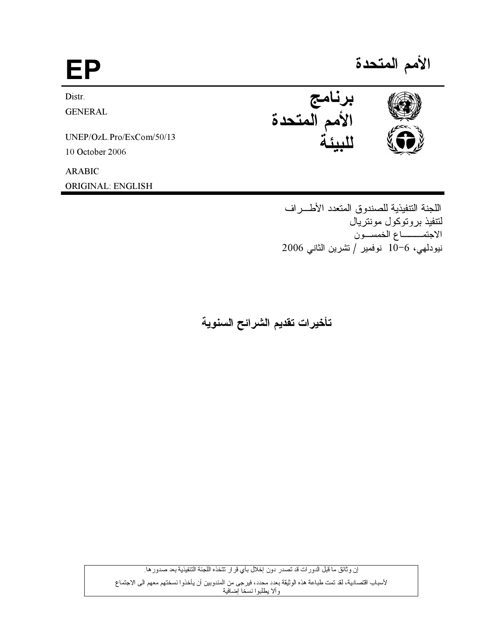EP

Distr.

**GENERAL** 

UNEP/OzL.Pro/ExCom/50/13

10 October 2006

**ARABIC** 

**ORIGINAL: ENGLISH** 

الأمم المتحدة



اللجنة التتفيذية للصندوق المتعدد الأطسر اف لتتفيذ بروتوكول مونتريال الاجتمـــــاع الخمســون نيودلمي، 6−10 نوفمير /تشرين الثاني 2006

تأخيرات تقديم الشرائح السنوية

إن وثائق ما قبل الدورات قد تصدر دون إخلال بأي قرار تتخذه اللجنة التنفيذية بعد صدور ها لأسباب اقتصادية، لقد تمت طباعة هذه الوثيقة بعدد محدد، فيرجى من المندوبين أن يأخذوا نسختهم معهم الى الاجتماع وألا يطلبوا نسخا إضافية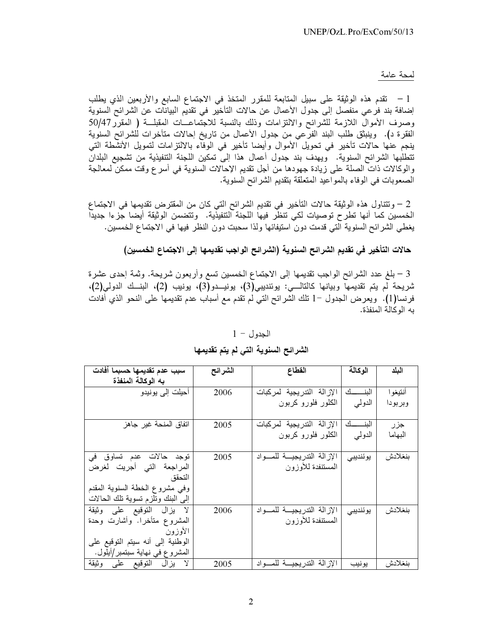### لمحة عامة

1 – تقدم هذه الوثيقة على سبيل المتابعة للمقرر المتخذ في الاجتماع السابع والأربعين الذي يطلب إضافة بند فرعي منفصل إلى جدول الأعمال عن حالات التأخير في تقديم البيانات عن الشرائح السنوية وصرف الأموال اللازمة للشرائح والالتزامات وذلك بالنسبة للاجتماعــات المقبلـــة ( المقرر 50/47 الفقرة د). وينبثق طلب البند الفرعي من جدول الأعمال من تاريخ إحالات متأخرات للشرائح السنوية ينجم عنَّها حالات تأخير في تحويل الأموال وأيضا تأخير في الوفَّاء بالالتزامات لتمويل الأنشَّطة التي تتطلبها الشرائح السنوية. ويهدف بند جدول أعمال هذا إلى تمكين اللجنة التنفيذية من تشجيع البلدان والوكالات ذات الصلة على زيادة جهودها من أجل تقديم الإحالات السنوية في أسر ع وقت ممكن لمعالجة الصعوبات في الوفاء بالمواعيد المتعلقة بتقديم الشرائح السنوية.

2 – وتتناول هذه الوثيقة حالات التأخير في تقديم الشرائح التي كان من المقترض تقديمها في الاجتماع الخمسين كما أنها تطرح توصيات لكي تنظَّر فيها اللجنة التنفيذية. وتتضمن الوثيقة أيضا جزءا جديداً يغطي الشرائح السنوية التي قدمت دون استيفائها ولذا سحبت دون النظر فيها في الاجتماع الخمسين.

حالات التأخير في تقديم الشرائح السنوية (الشرائح الواجب تقديمها إلى الاجتماع الخمسين)

3 – بلغ عدد الشرائح الواجب تقديمها إلى الاجتماع الخمسين تسع وأربعون شريحة. وثمة إحدى عشرة شريحة لم يتم تقديمها وبيانها كالتالـــي: يوئنديبي(3)، يونيـــدو(3)، يونيب (2)، البنــك الدولي(2)، فرنسا(1). ويعرض الجدول –1 نلك الشرائح التبي لم تقدم مع أسباب عدم تقديمها على النحو الذي أفادت به الوكالة المنفذة.

### $1 - 1$ الجدول

## الشرائح السنوية التي لم يتم تقديمها

| سبب عدم تقديمها حسبما أفادت        | الشرائح | القطاع                    | الوكالة    | اليلد   |
|------------------------------------|---------|---------------------------|------------|---------|
| به الوكالة المنفذة                 |         |                           |            |         |
| أحيلت إلى يونيدو                   | 2006    | الإزالة التدريجية لمركبات | البنـــــك | أنتيغوا |
|                                    |         | الكلور فلورو كربون        | الدولمي    | وبربودا |
|                                    |         |                           |            |         |
| اتفاق المنحة غير جاهز              | 2005    | الإزالة التدريجية لمركبات | البنـــــك | جزر     |
|                                    |         | الكلور فلورو كربون        | الدولمي    | البهاما |
|                                    |         |                           |            |         |
| توجد حالات عدم تساوق في            | 2005    | الإزالة التدريجية للمواد  | يوئنديبي   | بنغلادش |
| المراجعة التي أجريت لغرض           |         | المستنفدة للأوزون         |            |         |
| التحقق                             |         |                           |            |         |
| وفي مشروع الخطة السنوية المقدم     |         |                           |            |         |
| إلىي البنك ونلزم نسوية نلك الحالات |         |                           |            |         |
| لا يزال النوقيع على وثيقة          | 2006    | الإزالة التدريجية للمسواد | يوئنديبي   | بنغلادش |
| المشروع متأخرا. وأشارت وحدة        |         | المستنفدة للأوزون         |            |         |
| الأوزون                            |         |                           |            |         |
| الوطنية إلى أنه سيتم التوقيع على   |         |                           |            |         |
| المشروع في نهاية سبتمبر/أيلول.     |         |                           |            |         |
| لا يزال النوقيع على وثيقة          | 2005    | الإزالة التدريجية للمواد  | يونيب      | بنغلادش |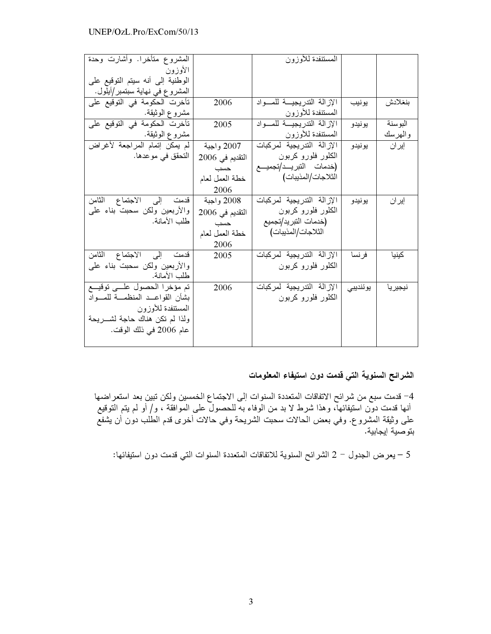| المشروع متأخرا. وأشارت وحدة         |                 | المستنفدة للأوزون          |          |          |
|-------------------------------------|-----------------|----------------------------|----------|----------|
| الأوزون                             |                 |                            |          |          |
| الوطنية إلى أنه سيتم التوقيع على    |                 |                            |          |          |
| المشروع في نهاية سبتمبر/أيلول.      |                 |                            |          |          |
| تأخرت الحكومة في التوقيع على        | 2006            | الإزالة التدريجية للمواد   | يونيب    | بنغلادش  |
| مشروع الوثيقة.                      |                 | المستنفدة للأوزون          |          |          |
| تأخرت الحكومة في التوقيع على        | 2005            | الإزالة التدريجية للمواد   | يونيدو   | البو سنة |
| مشروع الوثيقة.                      |                 | المستنفدة للأوزون          |          | والهرسك  |
| لم يمكن إتمام المراجعة لأغراض       | 2007 واجبة      | الإزالة التدريجية لمركبات  | يو نيدو  | إيران    |
| النحقق في موعدها.                   | النقديم في 2006 | الكلور فلورو كربون         |          |          |
|                                     | حسب             | (خدمات التبريـــد/تجميـــع |          |          |
|                                     | خطة العمل لعام  | الثلاجات/المذيبات)         |          |          |
|                                     | 2006            |                            |          |          |
| قدمت إلى الاجتماع الثامن            | 2008 واجبة      | الإرالة التدريجية لمركبات  | يو نيدو  | إيران    |
| والأربعين ولكن سحبت بناء علمي       | النقديم في 2006 | الكلور فلورو كربون         |          |          |
| طلب الأمانة.                        | حسب             | (خدمات التبريد/تجميع       |          |          |
|                                     | خطة العمل لعام  | الثلاجات/المذيبات)         |          |          |
|                                     | 2006            |                            |          |          |
| قدمت إلى الاجتماع الثامن            | 2005            | الإزالة التدريجية لمركبات  | فر نسا   | كينيا    |
| والأربعين ولكن سحبت بناء علمي       |                 | الكلور فلورو كربون         |          |          |
| طلب الأمانة.                        |                 |                            |          |          |
| تم مؤخرا الحصول علمى توقيع          | 2006            | الإزالة التدريجية لمركبات  | يوئنديبي | نيجيريا  |
| بشأن القواعــد المنظمـــة للمـــواد |                 | الكلور فلورو كربون         |          |          |
| المستنفدة للأوزون                   |                 |                            |          |          |
| ولذا لم نكن هناك حاجة لشـــــريحة   |                 |                            |          |          |
| عام 2006 في ذلك الوقت.              |                 |                            |          |          |
|                                     |                 |                            |          |          |

# الشرائح السنوية التي قدمت دون استيفاء المعلومات

4– قدمت سبع من شرائح الاتفاقات المتعددة السنوات إلى الاجتماع الخمسين ولكن تبين بعد استعر اضـها أنـها قدمت دون استيفائـها، وهذا شرط لا بد من الوفاء بـه للـحصول علـي الموافقة ، و/ أو لم يتم التوقيع على وثيقة المشروع. وفي بعض الحالات سحبت الشريحة وفي حالات اخرى قدم الطلب دون ان يشفع بتوصية ايجابية.

5 – يعرض الجدول – 2 الشرائح السنوية للاتفاقات المتعددة السنوات التي قدمت دون استيفائها: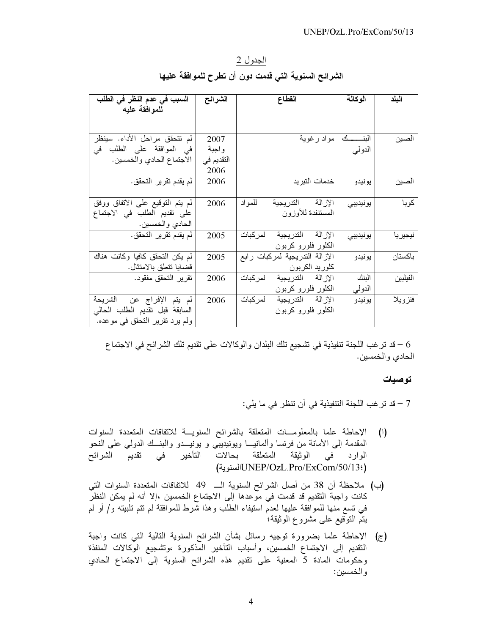الجدول 2 الشرائح السنوية التي قدمت دون أن تطرح للموافقة عليها

| السبب في عدم النظر في الطلب     | الشرائح    | القطاع                         | الوكالة    | البلد      |
|---------------------------------|------------|--------------------------------|------------|------------|
| للموافقة عليه                   |            |                                |            |            |
|                                 |            |                                |            |            |
| لم نتحقق مراحل الأداء. سينظر    | 2007       | مواد رغوية                     | البنـــــك | الصين      |
| في الموافقة على الطلب في        | واجبة      |                                | الدولمي    |            |
| الاجتماع الحادي والخمسين.       | التقديم في |                                |            |            |
|                                 | 2006       |                                |            |            |
| لم يقدم تقرير التحقق.           | 2006       | خدمات التبريد                  | يونيدو     | الصين      |
|                                 |            |                                |            |            |
| لم يتم النوقيع على الانفاق ووفق | 2006       | الإزالة التدريجية<br>للمو اد   | يونيديبي   | كوبا       |
| على تقديم الطلب في الاجتماع     |            | المستنفدة للأوزون              |            |            |
| الحادي والخمسين.                |            |                                |            |            |
| لم يقدم تقرير التحقق.           | 2005       | الإزالة الندريجية لمركبات      | يونيديبي   | نيجيريا    |
|                                 |            | الكلور فلورو كربون             |            |            |
| لم يكن التحقق كافيا وكانت هناك  | 2005       | الإزالة التدريجية لمركبات رابع | يو نيدو    | باكستان    |
| قضايا تتعلق بالامتثال.          |            | كلوريد الكربون                 |            |            |
| تقرير التحقق مفقود.             | 2006       | الإزالة التدريجية لمركبات      | البنك      | الفيلبين   |
|                                 |            | الكلور فلورو كربون             | النولي     |            |
| لم يتم الإفراج عن الشريحة       | 2006       | الإزالة الندريجية لمركبات      | يو نيدو    | فنز و یـلا |
| السابقة قبل نقديم الطلب الحالي  |            | الكلور فلورو كربون             |            |            |
| ولم يرد نقرير النحقق في موعده.  |            |                                |            |            |

6 – قد ترغب اللجنة تنفيذية في تشجيع تلك البلدان والوكالات على تقديم تلك الشرائح في الاجتماع الحادي والخمسين.

### توصيات

7 – قد تر غب اللجنة التنفيذية في أن تنظر في ما يلي:

- الإحاطة علما بالمعلومــات المتعلقة بالشرائح السنويـــة للاتفاقات المتعددة السنوات  $\left( \begin{matrix} 1 \end{matrix} \right)$ المقدمة إلى الأمانة من فرنسا وألمانيـــا ويونيديبي و يونيـــدو والبنـــك الدولي على النحو الوارد في الوثيقة المتعلقة بحالات التأخير في تقديم الشرائح السنوية)UNEP/OzL.Pro/ExCom/50/13:)
- (ب) ملاحظة أن 38 من أصل الشرائح السنوية الـ 49 للاتفاقات المتعددة السنوات التي كانت واجبة التقديم قد قدمت في موعدها إلى الاجتماع الخمسين ،إلا أنه لم يمكن النظر في تسع منها للموافقة عليها لعدم استيفاء الطلب وهذا شَّرط للموافقة لم تتم تلبيته و/ أو لم يتم التوُّقيع على مشروع الوثيقة؛
- (ج) الإحاطة علما بضرورة توجيه رسائل بشأن الشرائح السنوية التالية التي كانت واجبة النقديم إلى الاجتماع الخمسين، وأسباب التأخير المذكورة ،وتشجيع الوكالات المنفذة وحكومات المادة 5 المعنية على تقديم هذه الشرائح السنوية إلى الاجتماع الحادي والخمسين: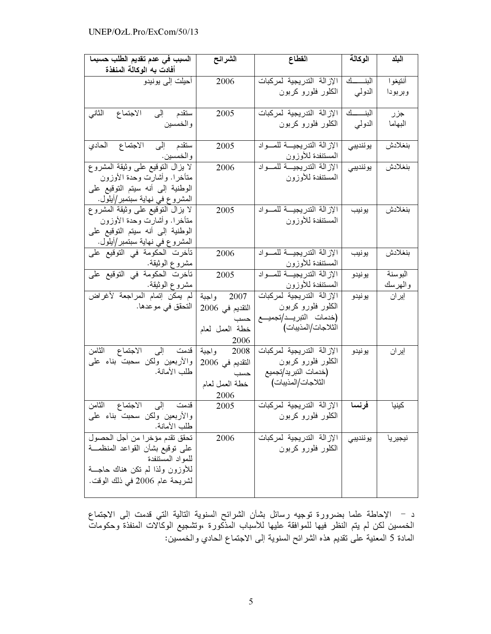| السبب في عدم تقديم الطلب حسبما    | الشرائح         | القطاع                           | الوكالة    | البلد   |
|-----------------------------------|-----------------|----------------------------------|------------|---------|
| أفادت به الوكالة المنفذة          |                 |                                  |            |         |
| أحيلت إلى بونيدو                  | 2006            | الإزالة التدريجية لمركبات        | البنـــــك | أنتيغوا |
|                                   |                 | الكلور فلورو كربون               | الدولمي    | وبربودا |
|                                   |                 |                                  |            |         |
| ستقدم إلى<br>الاجتماع<br>الثاني   | 2005            | الإزالة التدريجية لمركبات        | البنـــــك | جزر     |
| والخمسين                          |                 | الكلور فلورو كربون               | الدولمي    | البهاما |
|                                   |                 |                                  |            |         |
| الاجتماع الحادي<br>ستقدم إلى      | 2005            | الإزالة التدريجية للمواد         | يوئنديبي   | بنغلادش |
| و الخمسين .                       |                 | المستنفدة للأوزون                |            |         |
| لا يزال النوقيع على وثيقة المشروع | 2006            | الإزالة التدريجية للمواد         | يوئنديبي   | بنغلادش |
| متأخرا. وأشارت وحدة الأوزون       |                 | المستنفدة للأوزون                |            |         |
| الوطنية إلىي أنه سيتم التوقيع على |                 |                                  |            |         |
| المشروع في نهاية سبتمبر/أيلول.    |                 |                                  |            |         |
| لا بزال النوقيع على وثبقة المشروع | 2005            | الإزالة التدريجية للمواد         | يونيب      | بنغلادش |
| متأخرا. وأشارت وحدة الأوزون       |                 | المستنفدة للأوزون                |            |         |
| الوطنية إلى أنه سيتم التوقيع على  |                 |                                  |            |         |
| المشرو ع في نهاية سبتمبر/أيلول.   |                 |                                  |            |         |
| تأخرت الحكومة في التوقيع على      | 2006            | الإزالة التدريجية للمواد         | يونيب      | بنغلادش |
| مشروع الوثيقة.                    |                 | المستنفدة للأوزون                |            |         |
| تأخرت الحكومة في التوقيع على      | 2005            | الإزالة التدريجية للمواد         | يو نيدو    | البوسنة |
| مشروع الوثيقة.                    |                 | المستنفدة للأوزون                |            | والهرسك |
| لم يمكن إنمام المراجعة لأغراض     | 2007 واجبة      | الإزالة التدريجية لمركبات        | يو نيدو    | إيران   |
| التحقق في موعدها.                 | التقديم في 2006 | الكلور فلورو كربون               |            |         |
|                                   | حسب             | (خدمات النبريـــد/تجميـــع       |            |         |
|                                   | خطة العمل لعام  | الثلاجات/المذيبات)               |            |         |
|                                   | 2006            |                                  |            |         |
| قدمت إلى الاجتماع الثامن          | 2008 واجبة      | الإزالة التدريجية لمركبات        | يونيدو     | إيران   |
| والأربعين ولكن سحبت بناء علمي     | النقديم في 2006 | الكلور فلورو كربون               |            |         |
| طلب الأمانة.                      | حسب             | (خدمات التبر يد/تجميع            |            |         |
|                                   | خطة العمل لعام  | الثلاجات/المذيبات)               |            |         |
|                                   | 2006            |                                  |            |         |
| قدمت إلى الاجتماع الثامن          | 2005            | فرنسا  الإزالة التدريجية لمركبات |            | كينيا   |
| والأربعين ولكن سحبت بناء على      |                 | الكلور فلورو كربون               |            |         |
| طلب الأمانة.                      |                 |                                  |            |         |
| تحقق تقدم مؤخرا من أجل الحصول     | 2006            | الإزالة التدريجية لمركبات        | يوئنديبي   | نيجيريا |
| على نوقيع بشأن القواعد المنظمـــة |                 | الكلور فلورو كربون               |            |         |
| للمواد المستنفدة                  |                 |                                  |            |         |
| للأوزون ولذا لم نكن هناك حاجسة    |                 |                                  |            |         |
| لشريحة عام 2006 في ذلك الوقت.     |                 |                                  |            |         |
|                                   |                 |                                  |            |         |

د – الإحاطة علما بضرورة توجيه رسائل بشأن الشرائح السنوية التالية التي قدمت إلى الاجتماع الخمسين لكن لم يتم النظر فيها للموافقة عليها للأسباب المذكورة ،وتشجيع الوكالات المنفذة وحكومات المادة 5 المعنية على تقديم هذه الشرائح السنوية إلى الاجتماع الحادي والخمسين: